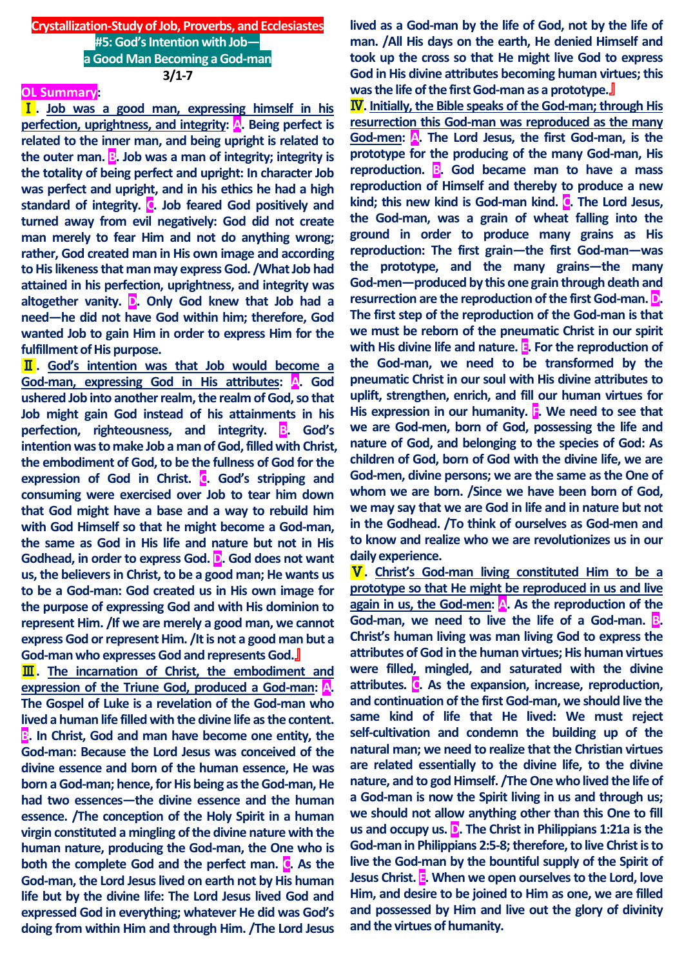## **Crystallization-Study of Job, Proverbs, and Ecclesiastes #5: God's Intention with Job a Good Man Becoming a God-man 3/1-7**

#### **OL Summary:**

Ⅰ**. Job was a good man, expressing himself in his perfection, uprightness, and integrity: A. Being perfect is related to the inner man, and being upright is related to the outer man. B. Job was a man of integrity; integrity is the totality of being perfect and upright: In character Job was perfect and upright, and in his ethics he had a high standard of integrity. C. Job feared God positively and turned away from evil negatively: God did not create man merely to fear Him and not do anything wrong; rather, God created man in His own image and according to His likeness that man may express God. /What Job had attained in his perfection, uprightness, and integrity was altogether vanity. D. Only God knew that Job had a need—he did not have God within him; therefore, God wanted Job to gain Him in order to express Him for the fulfillment of His purpose.**

Ⅱ**. God's intention was that Job would become a God-man, expressing God in His attributes: A. God ushered Job into another realm, the realm of God, so that Job might gain God instead of his attainments in his perfection, righteousness, and integrity. B. God's intention was to make Job a man of God, filled with Christ, the embodiment of God, to be the fullness of God for the expression of God in Christ. C. God's stripping and consuming were exercised over Job to tear him down that God might have a base and a way to rebuild him with God Himself so that he might become a God-man, the same as God in His life and nature but not in His Godhead, in order to express God. D. God does not want us, the believers in Christ, to be a good man; He wants us to be a God-man: God created us in His own image for the purpose of expressing God and with His dominion to represent Him. /If we are merely a good man, we cannot express God or represent Him. /It is not a good man but a God-man who expresses God and represents God.**』

**III**. The incarnation of Christ, the embodiment and **expression of the Triune God, produced a God-man: A. The Gospel of Luke is a revelation of the God-man who lived a human life filled with the divine life as the content. B. In Christ, God and man have become one entity, the God-man: Because the Lord Jesus was conceived of the divine essence and born of the human essence, He was born a God-man; hence, for His being as the God-man, He had two essences—the divine essence and the human essence. /The conception of the Holy Spirit in a human virgin constituted a mingling of the divine nature with the human nature, producing the God-man, the One who is both the complete God and the perfect man. C. As the God-man, the Lord Jesus lived on earth not by His human life but by the divine life: The Lord Jesus lived God and expressed God in everything; whatever He did was God's doing from within Him and through Him. /The Lord Jesus** 

**lived as a God-man by the life of God, not by the life of man. /All His days on the earth, He denied Himself and took up the cross so that He might live God to express God in His divine attributes becoming human virtues; this was the life of the first God-man as a prototype.**』

Ⅳ**. Initially, the Bible speaks of the God-man; through His resurrection this God-man was reproduced as the many God-men: A. The Lord Jesus, the first God-man, is the prototype for the producing of the many God-man, His reproduction. B. God became man to have a mass reproduction of Himself and thereby to produce a new kind; this new kind is God-man kind. C. The Lord Jesus, the God-man, was a grain of wheat falling into the ground in order to produce many grains as His reproduction: The first grain—the first God-man—was the prototype, and the many grains—the many God-men—produced by this one grain through death and resurrection are the reproduction of the first God-man. D. The first step of the reproduction of the God-man is that we must be reborn of the pneumatic Christ in our spirit with His divine life and nature. E. For the reproduction of the God-man, we need to be transformed by the pneumatic Christ in our soul with His divine attributes to uplift, strengthen, enrich, and fill our human virtues for His expression in our humanity. F. We need to see that we are God-men, born of God, possessing the life and nature of God, and belonging to the species of God: As children of God, born of God with the divine life, we are God-men, divine persons; we are the same as the One of whom we are born. /Since we have been born of God, we may say that we are God in life and in nature but not in the Godhead. /To think of ourselves as God-men and to know and realize who we are revolutionizes us in our daily experience.**

Ⅴ**. Christ's God-man living constituted Him to be a prototype so that He might be reproduced in us and live again in us, the God-men: A. As the reproduction of the God-man, we need to live the life of a God-man. B. Christ's human living was man living God to express the attributes of God in the human virtues; His human virtues were filled, mingled, and saturated with the divine attributes. C. As the expansion, increase, reproduction, and continuation of the first God-man, we should live the same kind of life that He lived: We must reject self-cultivation and condemn the building up of the natural man; we need to realize that the Christian virtues are related essentially to the divine life, to the divine nature, and to god Himself. /The One who lived the life of a God-man is now the Spirit living in us and through us; we should not allow anything other than this One to fill us and occupy us. D. The Christ in Philippians 1:21a is the God-man in Philippians 2:5-8; therefore, to live Christ is to live the God-man by the bountiful supply of the Spirit of Jesus Christ. E. When we open ourselves to the Lord, love Him, and desire to be joined to Him as one, we are filled and possessed by Him and live out the glory of divinity and the virtues of humanity.**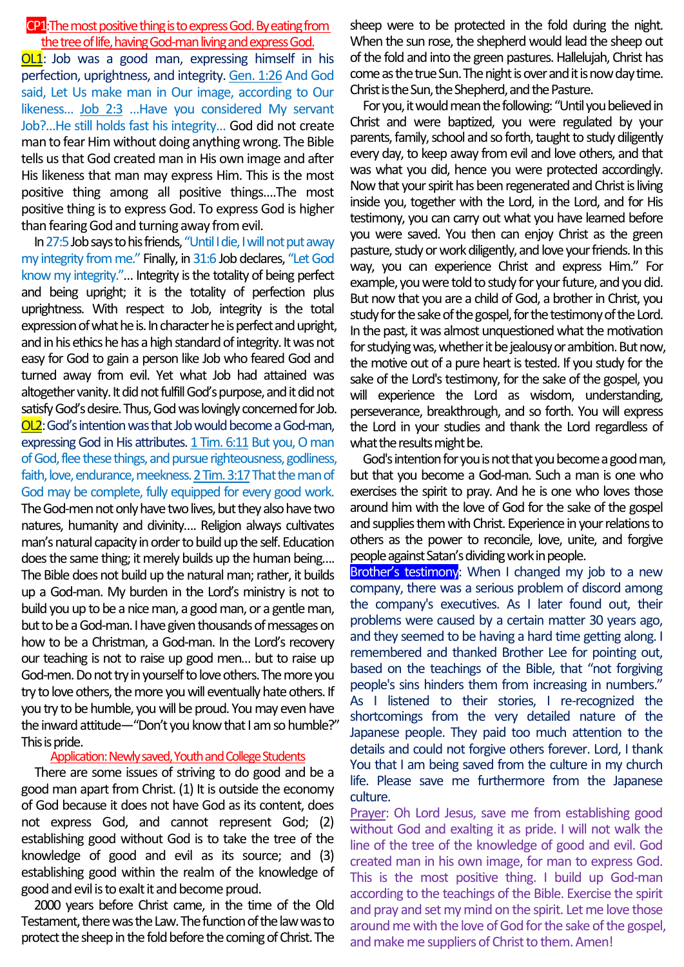## CP1:The most positive thing is to express God. By eating from the tree of life, having God-man living and express God.

**OL1**: Job was a good man, expressing himself in his perfection, uprightness, and integrity. Gen. 1:26 And God said, Let Us make man in Our image, according to Our likeness… Job 2:3 …Have you considered My servant Job?…He still holds fast his integrity… God did not create man to fear Him without doing anything wrong. The Bible tells us that God created man in His own image and after His likeness that man may express Him. This is the most positive thing among all positive things….The most positive thing is to express God. To express God is higher than fearing God and turning away from evil.

In 27:5 Job says to his friends, "Until I die, I will not put away my integrity from me." Finally, in 31:6 Job declares, "Let God know my integrity."… Integrity is the totality of being perfect and being upright; it is the totality of perfection plus uprightness. With respect to Job, integrity is the total expression of what he is. In character he is perfect and upright, and in his ethics he has a high standard of integrity. It was not easy for God to gain a person like Job who feared God and turned away from evil. Yet what Job had attained was altogether vanity. It did not fulfill God's purpose, and it did not satisfy God's desire. Thus, God was lovingly concerned for Job. OL2:God's intention was that Job would become a God-man, expressing God in His attributes. 1 Tim. 6:11 But you, O man of God, flee these things, and pursue righteousness, godliness, faith, love, endurance, meekness. 2 Tim. 3:17That the man of God may be complete, fully equipped for every good work. The God-men not only have two lives, but they also have two natures, humanity and divinity…. Religion always cultivates man's natural capacity in order to build up the self. Education does the same thing; it merely builds up the human being…. The Bible does not build up the natural man; rather, it builds up a God-man. My burden in the Lord's ministry is not to build you up to be a nice man, a good man, or a gentle man, but to be a God-man. I have given thousands of messages on how to be a Christman, a God-man. In the Lord's recovery our teaching is not to raise up good men… but to raise up God-men. Do not try in yourself to love others. The more you try to love others, the more you will eventually hate others. If you try to be humble, you will be proud. You may even have the inward attitude—"Don't you know that I am so humble?" This is pride.

### Application: Newly saved, Youth and College Students

There are some issues of striving to do good and be a good man apart from Christ. (1) It is outside the economy of God because it does not have God as its content, does not express God, and cannot represent God; (2) establishing good without God is to take the tree of the knowledge of good and evil as its source; and (3) establishing good within the realm of the knowledge of good and evil is to exalt it and become proud.

2000 years before Christ came, in the time of the Old Testament, there was the Law.The function of the law was to protect the sheep in the fold before the coming of Christ. The

sheep were to be protected in the fold during the night. When the sun rose, the shepherd would lead the sheep out of the fold and into the green pastures. Hallelujah, Christ has come as the true Sun. The night is over and it is now day time. Christ is the Sun, the Shepherd, and the Pasture.

For you, it would mean the following: "Until you believed in Christ and were baptized, you were regulated by your parents, family, school and so forth, taught to study diligently every day, to keep away from evil and love others, and that was what you did, hence you were protected accordingly. Now that your spirit has been regenerated and Christ is living inside you, together with the Lord, in the Lord, and for His testimony, you can carry out what you have learned before you were saved. You then can enjoy Christ as the green pasture, study or work diligently, and love your friends. In this way, you can experience Christ and express Him." For example, you were told to study for your future, and you did. But now that you are a child of God, a brother in Christ, you study for the sake of the gospel, for the testimony of the Lord. In the past, it was almost unquestioned what the motivation for studying was, whether it be jealousy or ambition. But now, the motive out of a pure heart is tested. If you study for the sake of the Lord's testimony, for the sake of the gospel, you will experience the Lord as wisdom, understanding, perseverance, breakthrough, and so forth. You will express the Lord in your studies and thank the Lord regardless of what the results might be.

God's intention for you is not that you become a good man, but that you become a God-man. Such a man is one who exercises the spirit to pray. And he is one who loves those around him with the love of God for the sake of the gospel and supplies them with Christ. Experience in your relations to others as the power to reconcile, love, unite, and forgive people against Satan's dividing work in people.

Brother's testimony: When I changed my job to a new company, there was a serious problem of discord among the company's executives. As I later found out, their problems were caused by a certain matter 30 years ago, and they seemed to be having a hard time getting along. I remembered and thanked Brother Lee for pointing out, based on the teachings of the Bible, that "not forgiving people's sins hinders them from increasing in numbers." As I listened to their stories, I re-recognized the shortcomings from the very detailed nature of the Japanese people. They paid too much attention to the details and could not forgive others forever. Lord, I thank You that I am being saved from the culture in my church life. Please save me furthermore from the Japanese culture.

Prayer: Oh Lord Jesus, save me from establishing good without God and exalting it as pride. I will not walk the line of the tree of the knowledge of good and evil. God created man in his own image, for man to express God. This is the most positive thing. I build up God-man according to the teachings of the Bible. Exercise the spirit and pray and set my mind on the spirit. Let me love those around mewith the love of God for the sake of the gospel, and make me suppliers of Christ to them. Amen!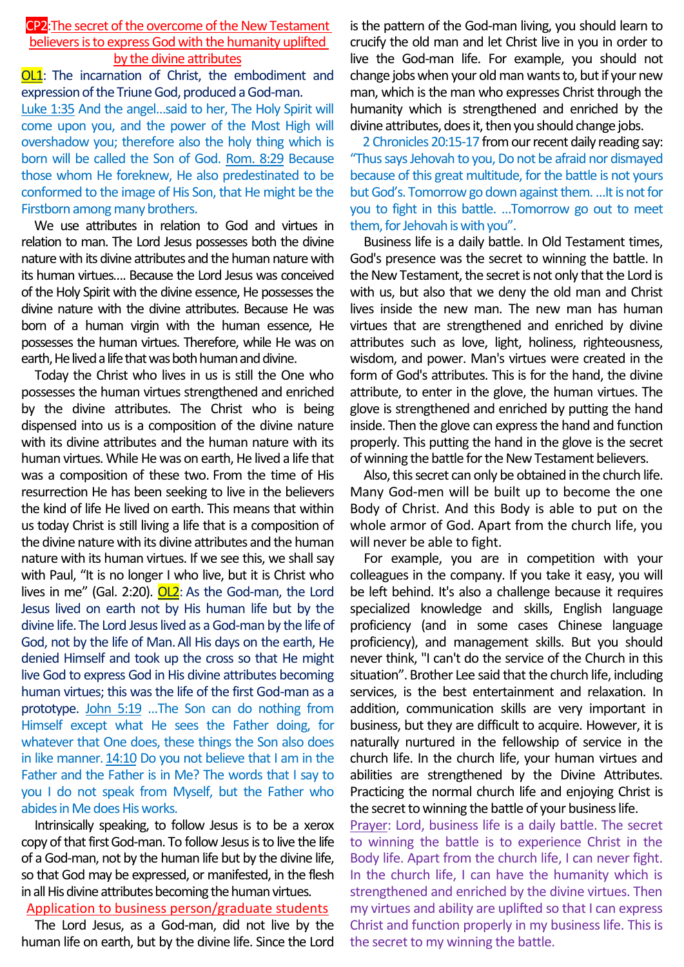## CP2:The secret of the overcome of the New Testament believers is to express God with the humanity uplifted by the divine attributes

**OL1**: The incarnation of Christ, the embodiment and expression of the Triune God, produced a God-man.

Luke 1:35 And the angel…said to her, The Holy Spirit will come upon you, and the power of the Most High will overshadow you; therefore also the holy thing which is born will be called the Son of God. Rom. 8:29 Because those whom He foreknew, He also predestinated to be conformed to the image of His Son, that He might be the Firstborn among many brothers.

We use attributes in relation to God and virtues in relation to man. The Lord Jesus possesses both the divine nature with its divine attributes and the human nature with its human virtues…. Because the Lord Jesus was conceived of the Holy Spirit with the divine essence, He possesses the divine nature with the divine attributes. Because He was born of a human virgin with the human essence, He possesses the human virtues. Therefore, while He was on earth, He lived a life that was both human and divine.

Today the Christ who lives in us is still the One who possesses the human virtues strengthened and enriched by the divine attributes. The Christ who is being dispensed into us is a composition of the divine nature with its divine attributes and the human nature with its human virtues. While He was on earth, He lived a life that was a composition of these two. From the time of His resurrection He has been seeking to live in the believers the kind of life He lived on earth. This means that within us today Christ is still living a life that is a composition of the divine nature with its divine attributes and the human nature with its human virtues. If we see this, we shall say with Paul, "It is no longer I who live, but it is Christ who lives in me" (Gal. 2:20). OL2: As the God-man, the Lord Jesus lived on earth not by His human life but by the divine life.The Lord Jesus lived as a God-man by the life of God, not by the life of Man.All His days on the earth, He denied Himself and took up the cross so that He might live God to express God in His divine attributes becoming human virtues; this was the life of the first God-man as a prototype. John 5:19 …The Son can do nothing from Himself except what He sees the Father doing, for whatever that One does, these things the Son also does in like manner.  $14:10$  Do you not believe that I am in the Father and the Father is in Me? The words that I say to you I do not speak from Myself, but the Father who abides in Me does His works.

Intrinsically speaking, to follow Jesus is to be a xerox copy of that first God-man. To follow Jesus is to live the life of a God-man, not by the human life but by the divine life, so that God may be expressed, or manifested, in the flesh in all His divine attributes becoming the human virtues.

### Application to business person/graduate students

The Lord Jesus, as a God-man, did not live by the human life on earth, but by the divine life. Since the Lord is the pattern of the God-man living, you should learn to crucify the old man and let Christ live in you in order to live the God-man life. For example, you should not change jobs when your old man wants to, but if your new man, which is the man who expresses Christ through the humanity which is strengthened and enriched by the divine attributes, does it, then you should change jobs.

2 Chronicles 20:15-17 from our recent daily reading say: "Thus says Jehovah to you, Do not be afraid nor dismayed because of this great multitude, for the battle is not yours but God's. Tomorrow go down against them. …It is not for you to fight in this battle. …Tomorrow go out to meet them, for Jehovah is with you".

Business life is a daily battle. In Old Testament times, God's presence was the secret to winning the battle. In the New Testament, the secret is not only that the Lord is with us, but also that we deny the old man and Christ lives inside the new man. The new man has human virtues that are strengthened and enriched by divine attributes such as love, light, holiness, righteousness, wisdom, and power. Man's virtues were created in the form of God's attributes. This is for the hand, the divine attribute, to enter in the glove, the human virtues. The glove is strengthened and enriched by putting the hand inside. Then the glove can express the hand and function properly. This putting the hand in the glove is the secret of winning the battle for the New Testament believers.

Also, this secret can only be obtained in the church life. Many God-men will be built up to become the one Body of Christ. And this Body is able to put on the whole armor of God. Apart from the church life, you will never be able to fight.

For example, you are in competition with your colleagues in the company. If you take it easy, you will be left behind. It's also a challenge because it requires specialized knowledge and skills, English language proficiency (and in some cases Chinese language proficiency), and management skills. But you should never think, "I can't do the service of the Church in this situation". Brother Lee said that the church life, including services, is the best entertainment and relaxation. In addition, communication skills are very important in business, but they are difficult to acquire. However, it is naturally nurtured in the fellowship of service in the church life. In the church life, your human virtues and abilities are strengthened by the Divine Attributes. Practicing the normal church life and enjoying Christ is the secret to winning the battle of your business life.

Prayer: Lord, business life is a daily battle. The secret to winning the battle is to experience Christ in the Body life. Apart from the church life, I can never fight. In the church life, I can have the humanity which is strengthened and enriched by the divine virtues. Then my virtues and ability are uplifted so that I can express Christ and function properly in my business life. This is the secret to my winning the battle.